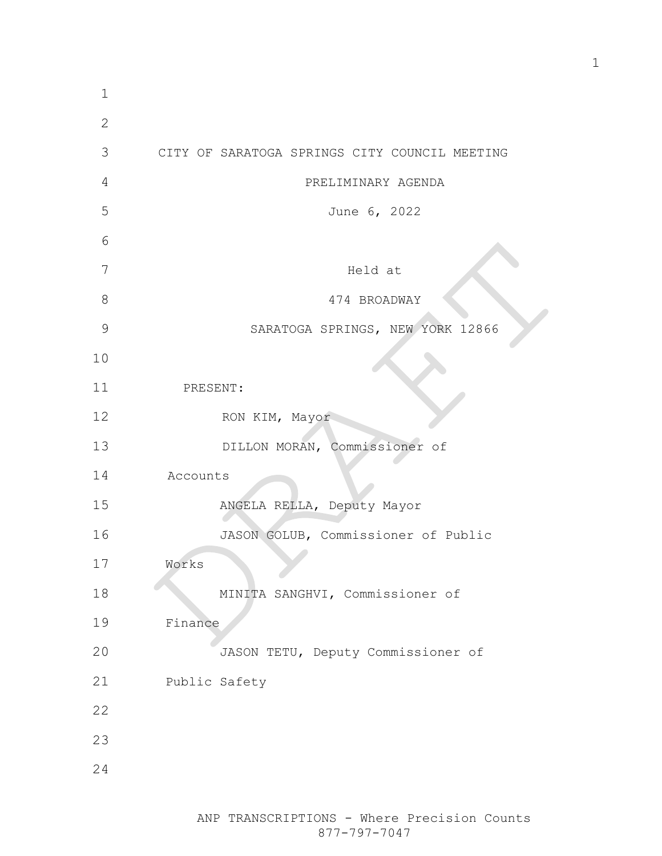| $\mathbf 1$   |                                               |
|---------------|-----------------------------------------------|
| $\mathbf{2}$  |                                               |
| 3             | CITY OF SARATOGA SPRINGS CITY COUNCIL MEETING |
| 4             | PRELIMINARY AGENDA                            |
| 5             | June 6, 2022                                  |
| 6             |                                               |
| 7             | Held at                                       |
| 8             | 474 BROADWAY                                  |
| $\mathcal{G}$ | SARATOGA SPRINGS, NEW YORK 12866              |
| 10            |                                               |
| 11            | PRESENT:                                      |
| 12            | RON KIM, Mayor                                |
| 13            | DILLON MORAN, Commissioner of                 |
| 14            | Accounts                                      |
| 15            | ANGELA RELLA, Deputy Mayor                    |
| 16            | JASON GOLUB, Commissioner of Public           |
| 17            | Works                                         |
| 18            | MINITA SANGHVI, Commissioner of               |
| 19            | Finance                                       |
| 20            | JASON TETU, Deputy Commissioner of            |
| 21            | Public Safety                                 |
| 22            |                                               |
| 23            |                                               |
| 24            |                                               |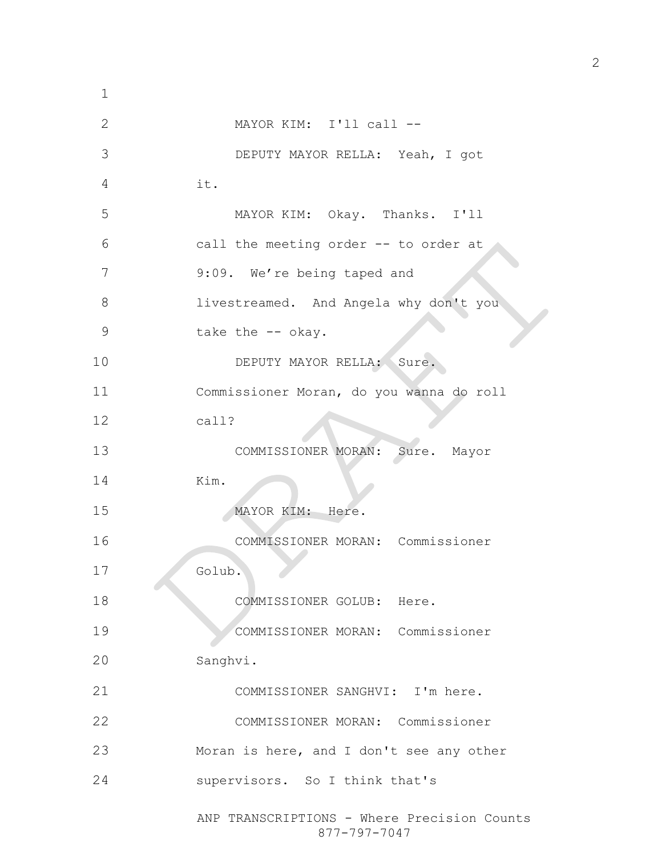ANP TRANSCRIPTIONS - Where Precision Counts 877-797-7047 MAYOR KIM: I'll call -- DEPUTY MAYOR RELLA: Yeah, I got it. MAYOR KIM: Okay. Thanks. I'll call the meeting order -- to order at 7 9:09. We're being taped and livestreamed. And Angela why don't you 9 take the -- okay. 10 DEPUTY MAYOR RELLA: Sure. Commissioner Moran, do you wanna do roll call? COMMISSIONER MORAN: Sure. Mayor Kim. 15 MAYOR KIM: Here. COMMISSIONER MORAN: Commissioner Golub. 18 COMMISSIONER GOLUB: Here. COMMISSIONER MORAN: Commissioner Sanghvi. COMMISSIONER SANGHVI: I'm here. COMMISSIONER MORAN: Commissioner Moran is here, and I don't see any other supervisors. So I think that's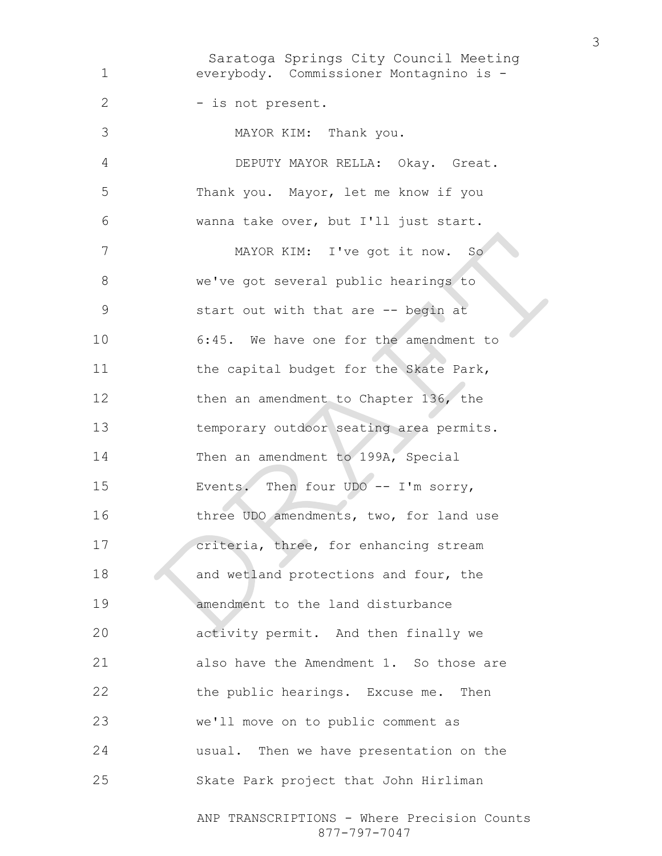Saratoga Springs City Council Meeting ANP TRANSCRIPTIONS - Where Precision Counts everybody. Commissioner Montagnino is - 2 - is not present. MAYOR KIM: Thank you. DEPUTY MAYOR RELLA: Okay. Great. Thank you. Mayor, let me know if you wanna take over, but I'll just start. MAYOR KIM: I've got it now. So we've got several public hearings to start out with that are -- begin at 6:45. We have one for the amendment to 11 the capital budget for the Skate Park, 12 then an amendment to Chapter 136, the temporary outdoor seating area permits. Then an amendment to 199A, Special Events. Then four UDO -- I'm sorry, three UDO amendments, two, for land use criteria, three, for enhancing stream 18 and wetland protections and four, the amendment to the land disturbance activity permit. And then finally we also have the Amendment 1. So those are 22 the public hearings. Excuse me. Then we'll move on to public comment as usual. Then we have presentation on the Skate Park project that John Hirliman

877-797-7047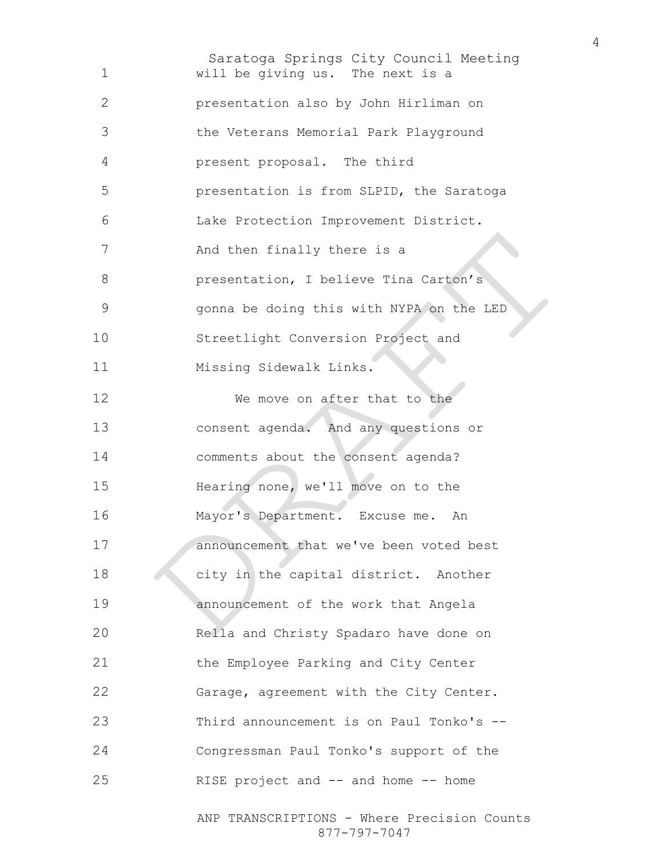Saratoga Springs City Council Meeting ANP TRANSCRIPTIONS - Where Precision Counts will be giving us. The next is a presentation also by John Hirliman on the Veterans Memorial Park Playground present proposal. The third presentation is from SLPID, the Saratoga Lake Protection Improvement District. 7 And then finally there is a **presentation**, I believe Tina Carton's gonna be doing this with NYPA on the LED Streetlight Conversion Project and Missing Sidewalk Links. 12 We move on after that to the consent agenda. And any questions or comments about the consent agenda? Hearing none, we'll move on to the Mayor's Department. Excuse me. An announcement that we've been voted best 18 city in the capital district. Another announcement of the work that Angela Rella and Christy Spadaro have done on the Employee Parking and City Center Garage, agreement with the City Center. Third announcement is on Paul Tonko's -- Congressman Paul Tonko's support of the RISE project and -- and home -- home

877-797-7047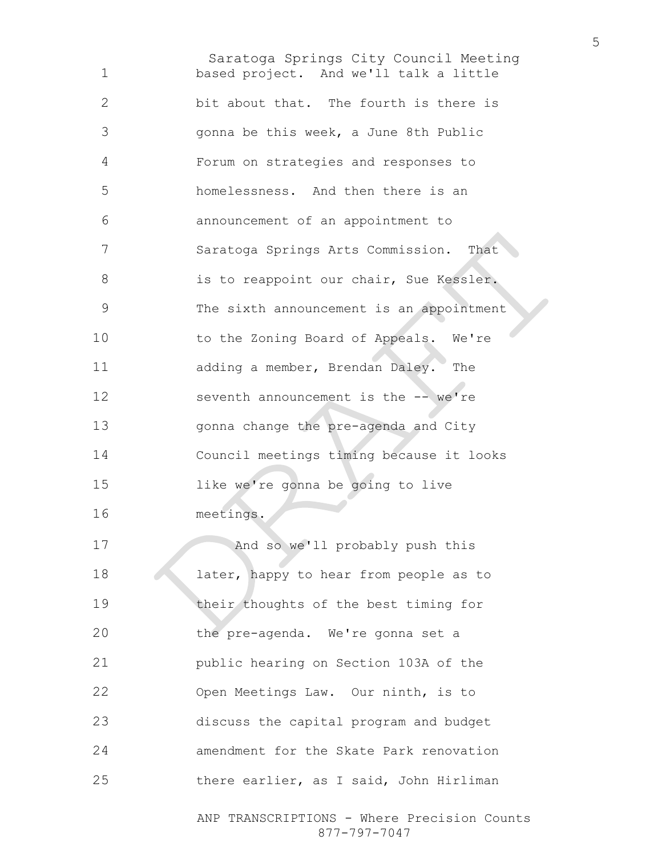Saratoga Springs City Council Meeting based project. And we'll talk a little bit about that. The fourth is there is gonna be this week, a June 8th Public Forum on strategies and responses to homelessness. And then there is an announcement of an appointment to Saratoga Springs Arts Commission. That is to reappoint our chair, Sue Kessler. The sixth announcement is an appointment 10 to the Zoning Board of Appeals. We're adding a member, Brendan Daley. The 12 seventh announcement is the -- we're gonna change the pre-agenda and City Council meetings timing because it looks like we're gonna be going to live meetings. 17 And so we'll probably push this 18 later, happy to hear from people as to 19 their thoughts of the best timing for the pre-agenda. We're gonna set a public hearing on Section 103A of the Open Meetings Law. Our ninth, is to discuss the capital program and budget amendment for the Skate Park renovation there earlier, as I said, John Hirliman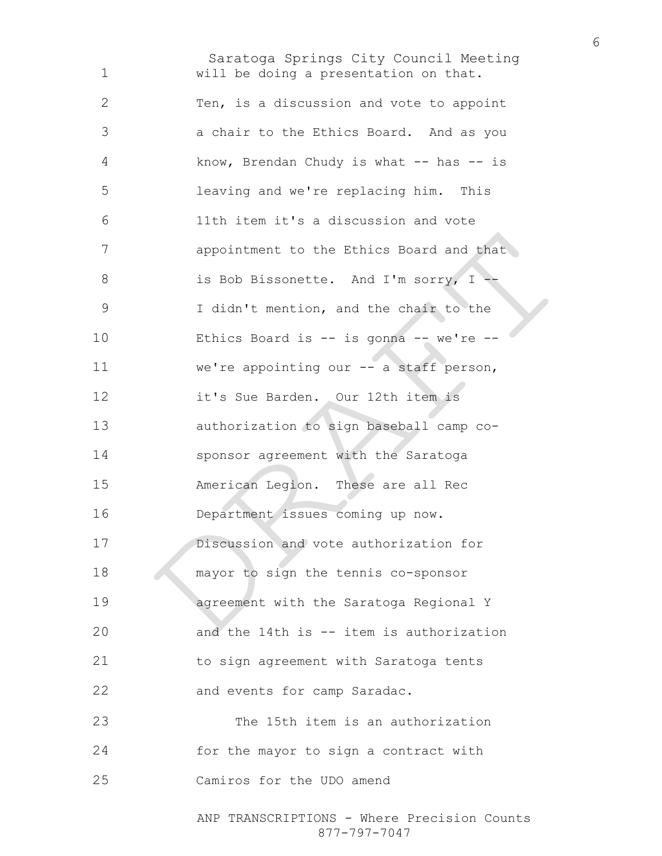Saratoga Springs City Council Meeting will be doing a presentation on that. Ten, is a discussion and vote to appoint a chair to the Ethics Board. And as you 4 know, Brendan Chudy is what -- has -- is leaving and we're replacing him. This 11th item it's a discussion and vote **appointment to the Ethics Board and that** is Bob Bissonette. And I'm sorry, I -- I didn't mention, and the chair to the Ethics Board is -- is gonna -- we're -- we're appointing our -- a staff person, it's Sue Barden. Our 12th item is authorization to sign baseball camp co-sponsor agreement with the Saratoga American Legion. These are all Rec Department issues coming up now. Discussion and vote authorization for mayor to sign the tennis co-sponsor agreement with the Saratoga Regional Y and the 14th is -- item is authorization to sign agreement with Saratoga tents 22 and events for camp Saradac. The 15th item is an authorization for the mayor to sign a contract with Camiros for the UDO amend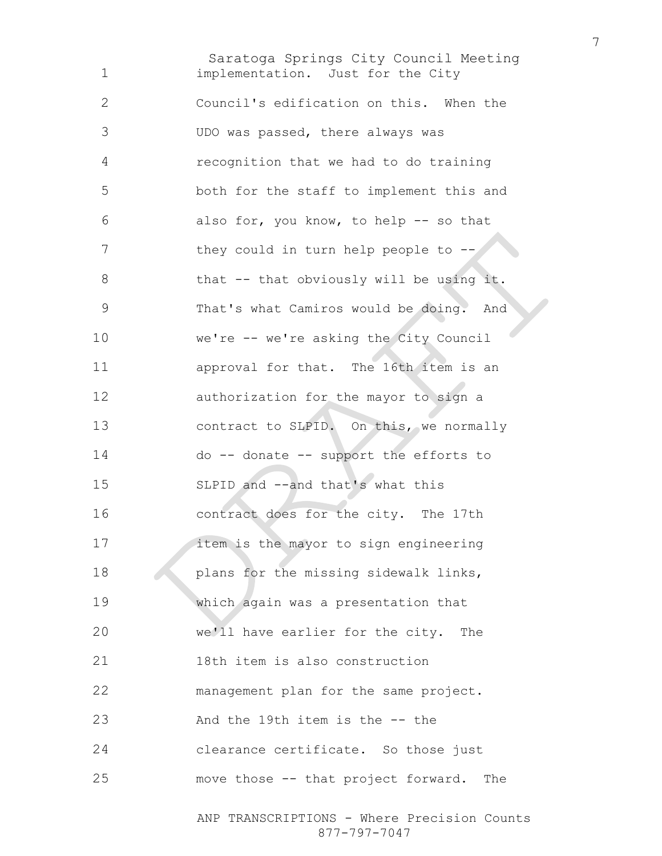Saratoga Springs City Council Meeting implementation. Just for the City Council's edification on this. When the UDO was passed, there always was recognition that we had to do training both for the staff to implement this and also for, you know, to help -- so that 7 they could in turn help people to --8 that -- that obviously will be using it. That's what Camiros would be doing. And we're -- we're asking the City Council approval for that. The 16th item is an authorization for the mayor to sign a 13 contract to SLPID. On this, we normally do -- donate -- support the efforts to SLPID and --and that's what this contract does for the city. The 17th **item is the mayor to sign engineering plans for the missing sidewalk links,** which again was a presentation that we'll have earlier for the city. The 18th item is also construction management plan for the same project. And the 19th item is the -- the clearance certificate. So those just move those -- that project forward. The

ANP TRANSCRIPTIONS - Where Precision Counts 877-797-7047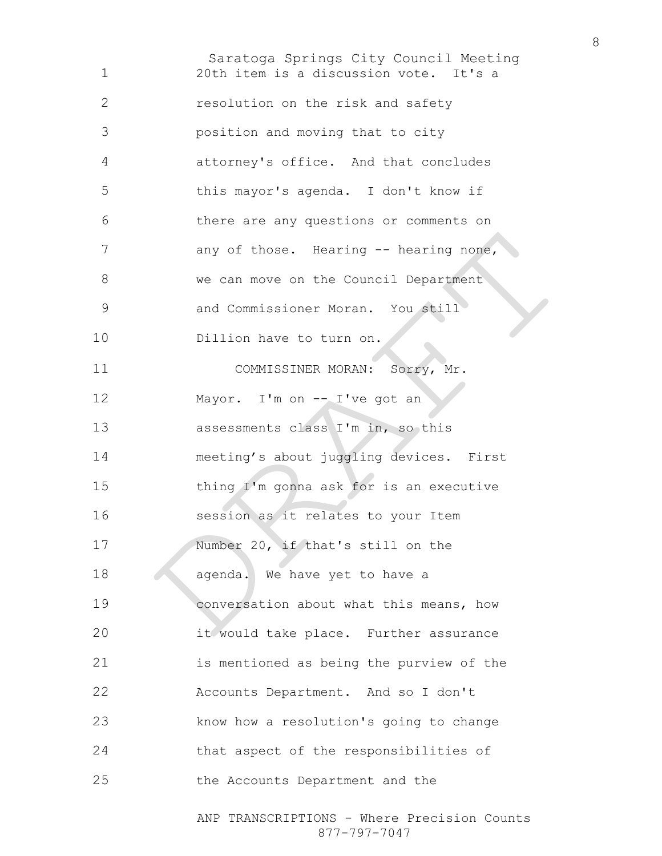Saratoga Springs City Council Meeting ANP TRANSCRIPTIONS - Where Precision Counts 20th item is a discussion vote. It's a resolution on the risk and safety position and moving that to city attorney's office. And that concludes this mayor's agenda. I don't know if there are any questions or comments on 7 any of those. Hearing -- hearing none, 8 we can move on the Council Department and Commissioner Moran. You still Dillion have to turn on. 11 COMMISSINER MORAN: Sorry, Mr. 12 Mayor. I'm on -- I've got an 13 assessments class I'm in, so this meeting's about juggling devices. First thing I'm gonna ask for is an executive session as it relates to your Item 17 Number 20, if that's still on the 18 agenda. We have yet to have a conversation about what this means, how it would take place. Further assurance is mentioned as being the purview of the Accounts Department. And so I don't know how a resolution's going to change that aspect of the responsibilities of the Accounts Department and the

877-797-7047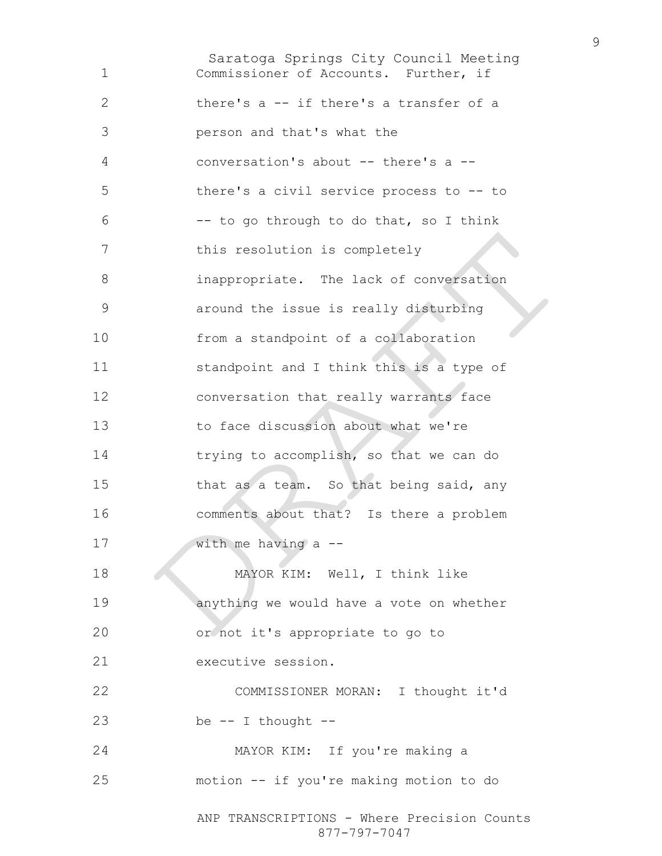Saratoga Springs City Council Meeting ANP TRANSCRIPTIONS - Where Precision Counts Commissioner of Accounts. Further, if there's a -- if there's a transfer of a person and that's what the conversation's about -- there's a -- there's a civil service process to -- to -- to go through to do that, so I think this resolution is completely inappropriate. The lack of conversation around the issue is really disturbing from a standpoint of a collaboration standpoint and I think this is a type of conversation that really warrants face to face discussion about what we're trying to accomplish, so that we can do that as a team. So that being said, any comments about that? Is there a problem with me having a -- 18 MAYOR KIM: Well, I think like anything we would have a vote on whether or not it's appropriate to go to executive session. COMMISSIONER MORAN: I thought it'd be  $-$  I thought  $-$ MAYOR KIM: If you're making a motion -- if you're making motion to do

877-797-7047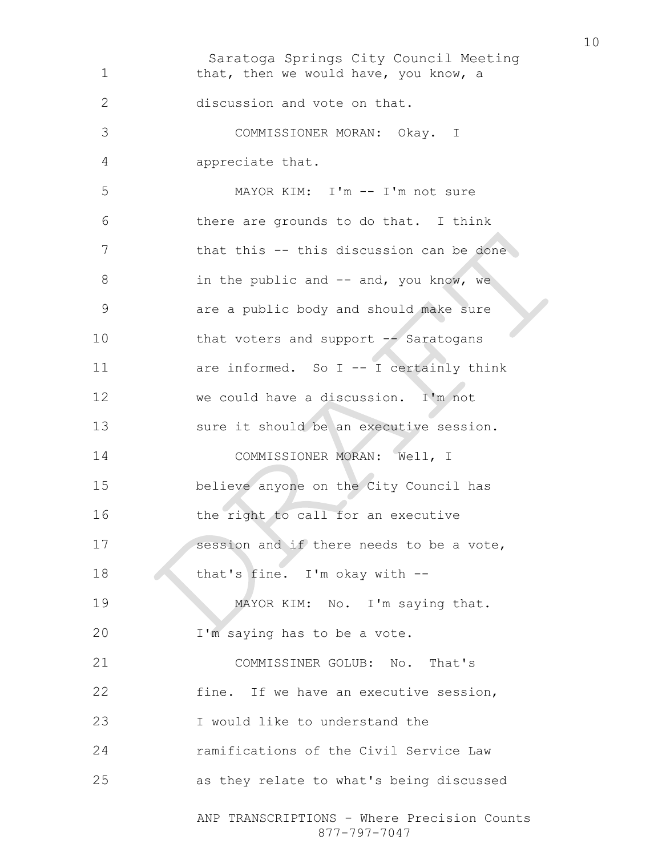Saratoga Springs City Council Meeting ANP TRANSCRIPTIONS - Where Precision Counts 877-797-7047 1 that, then we would have, you know, a 2 discussion and vote on that. 3 COMMISSIONER MORAN: Okay. I 4 appreciate that. 5 MAYOR KIM: I'm -- I'm not sure 6 there are grounds to do that. I think 7 that this -- this discussion can be done 8 in the public and -- and, you know, we 9 are a public body and should make sure 10 that voters and support -- Saratogans 11 are informed. So I -- I certainly think 12 we could have a discussion. I'm not 13 sure it should be an executive session. 14 COMMISSIONER MORAN: Well, I 15 believe anyone on the City Council has 16 the right to call for an executive 17 session and if there needs to be a vote, 18 that's fine. I'm okay with --19 MAYOR KIM: No. I'm saying that. 20 I'm saying has to be a vote. 21 COMMISSINER GOLUB: No. That's 22 fine. If we have an executive session, 23 I would like to understand the 24 ramifications of the Civil Service Law 25 as they relate to what's being discussed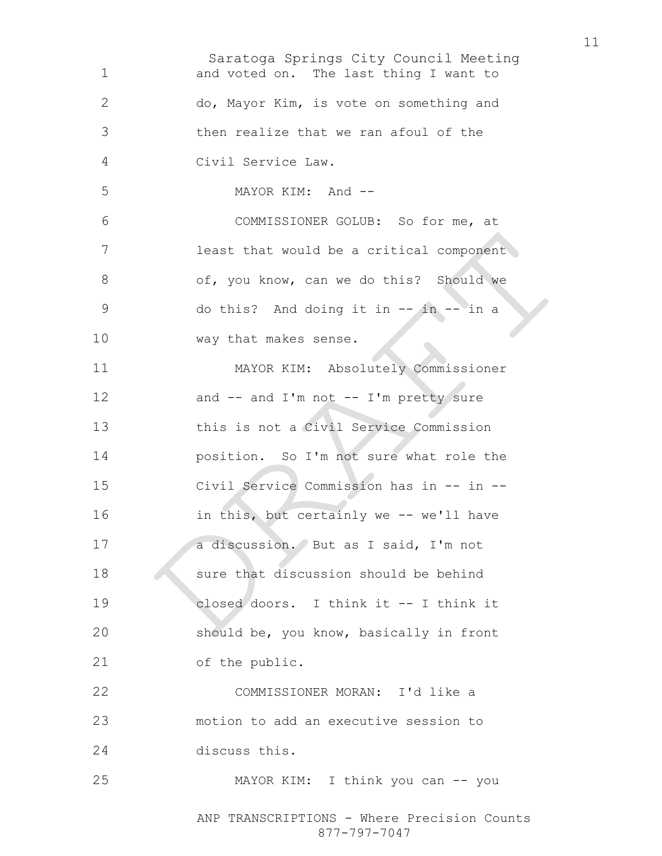Saratoga Springs City Council Meeting ANP TRANSCRIPTIONS - Where Precision Counts 877-797-7047 and voted on. The last thing I want to do, Mayor Kim, is vote on something and then realize that we ran afoul of the Civil Service Law. MAYOR KIM: And -- COMMISSIONER GOLUB: So for me, at least that would be a critical component 8 of, you know, can we do this? Should we 9 do this? And doing it in -- in -- in a way that makes sense. MAYOR KIM: Absolutely Commissioner 12 and -- and I'm not -- I'm pretty sure this is not a Civil Service Commission position. So I'm not sure what role the Civil Service Commission has in -- in -- in this, but certainly we -- we'll have a discussion. But as I said, I'm not sure that discussion should be behind closed doors. I think it -- I think it should be, you know, basically in front of the public. COMMISSIONER MORAN: I'd like a motion to add an executive session to discuss this. MAYOR KIM: I think you can -- you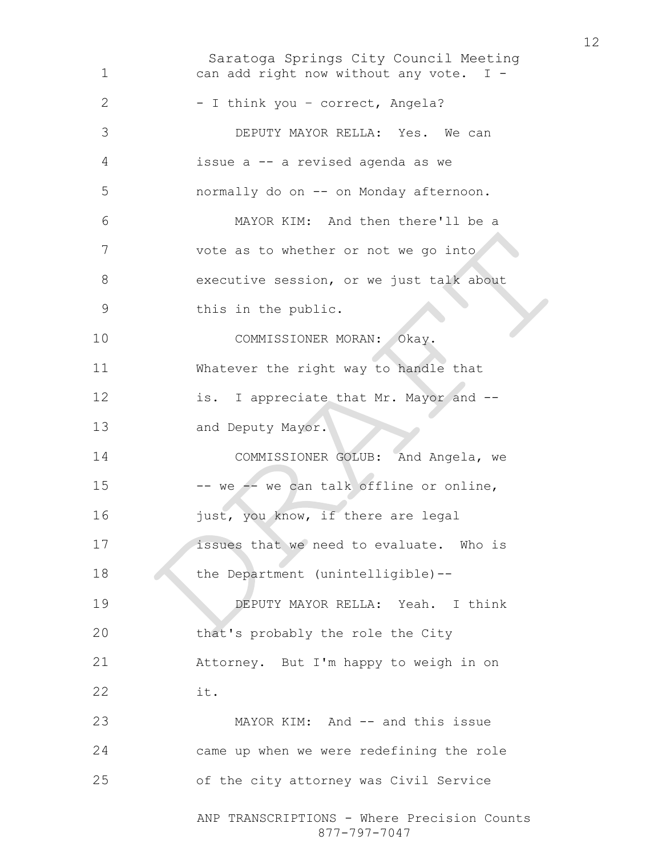Saratoga Springs City Council Meeting ANP TRANSCRIPTIONS - Where Precision Counts 877-797-7047 can add right now without any vote. I - 2 - I think you - correct, Angela? DEPUTY MAYOR RELLA: Yes. We can issue a -- a revised agenda as we normally do on -- on Monday afternoon. MAYOR KIM: And then there'll be a 7 vote as to whether or not we go into 8 executive session, or we just talk about this in the public. COMMISSIONER MORAN: Okay. Whatever the right way to handle that is. I appreciate that Mr. Mayor and -- and Deputy Mayor. COMMISSIONER GOLUB: And Angela, we 15 -- we  $-$  we can talk offline or online, 16 just, you know, if there are legal issues that we need to evaluate. Who is 18 the Department (unintelligible)--DEPUTY MAYOR RELLA: Yeah. I think that's probably the role the City Attorney. But I'm happy to weigh in on it. MAYOR KIM: And -- and this issue came up when we were redefining the role of the city attorney was Civil Service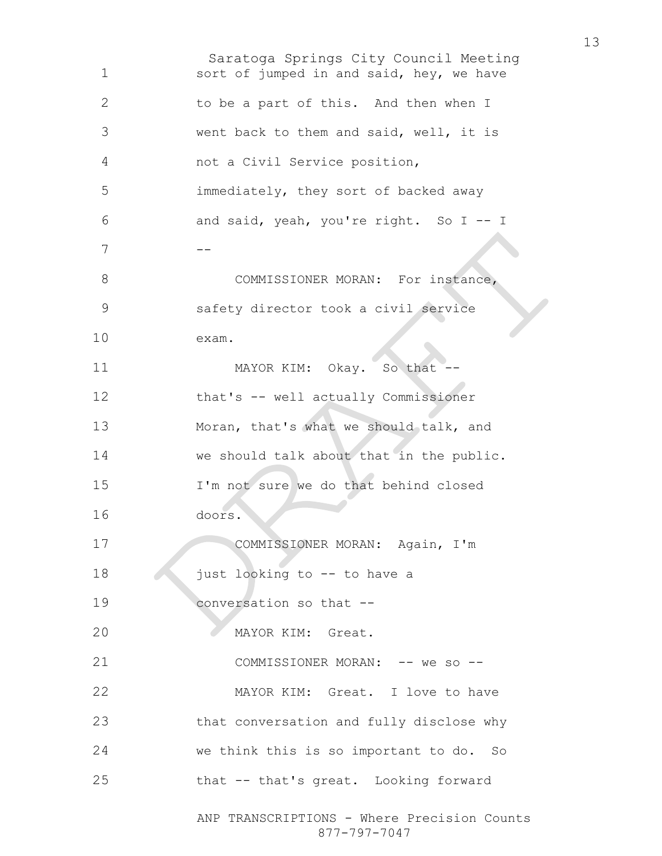Saratoga Springs City Council Meeting ANP TRANSCRIPTIONS - Where Precision Counts 1 sort of jumped in and said, hey, we have to be a part of this. And then when I went back to them and said, well, it is not a Civil Service position, immediately, they sort of backed away and said, yeah, you're right. So I -- I -- 8 COMMISSIONER MORAN: For instance, safety director took a civil service exam. 11 MAYOR KIM: Okay. So that -that's -- well actually Commissioner Moran, that's what we should talk, and we should talk about that in the public. I'm not sure we do that behind closed doors. 17 COMMISSIONER MORAN: Again, I'm 18 just looking to -- to have a conversation so that -- MAYOR KIM: Great. 21 COMMISSIONER MORAN: -- we so --MAYOR KIM: Great. I love to have that conversation and fully disclose why we think this is so important to do. So that -- that's great. Looking forward

877-797-7047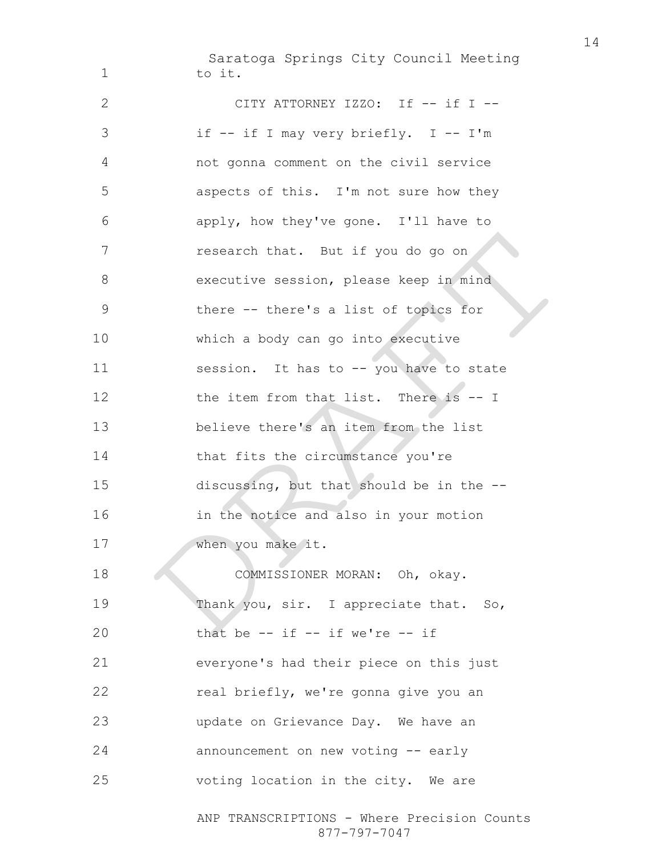Saratoga Springs City Council Meeting 1 to it.

ANP TRANSCRIPTIONS - Where Precision Counts 2 CITY ATTORNEY IZZO: If -- if I --3 if -- if I may very briefly. I -- I'm 4 not gonna comment on the civil service 5 aspects of this. I'm not sure how they 6 apply, how they've gone. I'll have to 7 research that. But if you do go on 8 executive session, please keep in mind 9 there -- there's a list of topics for 10 which a body can go into executive 11 session. It has to -- you have to state 12 the item from that list. There is -- I 13 believe there's an item from the list 14 that fits the circumstance you're 15 discussing, but that should be in the -- 16 in the notice and also in your motion 17 when you make it. 18 COMMISSIONER MORAN: Oh, okay. 19 Thank you, sir. I appreciate that. So, 20 that be  $-$  if  $-$  if we're  $-$  if 21 everyone's had their piece on this just 22 real briefly, we're gonna give you an 23 update on Grievance Day. We have an 24 announcement on new voting -- early 25 voting location in the city. We are

877-797-7047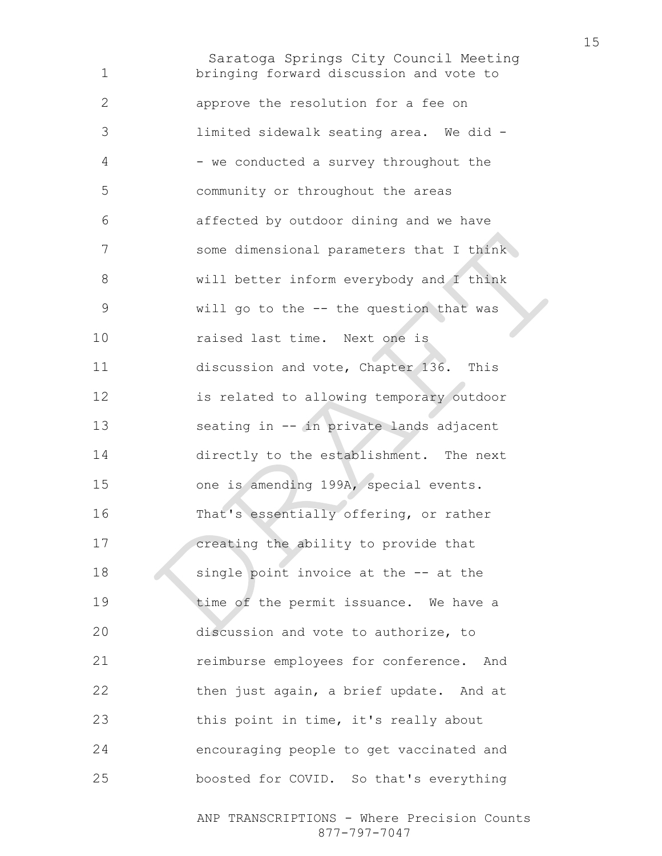Saratoga Springs City Council Meeting bringing forward discussion and vote to approve the resolution for a fee on limited sidewalk seating area. We did - 4 - we conducted a survey throughout the community or throughout the areas affected by outdoor dining and we have 7 some dimensional parameters that I think will better inform everybody and I think will go to the -- the question that was raised last time. Next one is discussion and vote, Chapter 136. This is related to allowing temporary outdoor seating in -- in private lands adjacent directly to the establishment. The next one is amending 199A, special events. That's essentially offering, or rather creating the ability to provide that 18 single point invoice at the -- at the 19 time of the permit issuance. We have a discussion and vote to authorize, to reimburse employees for conference. And 22 then just again, a brief update. And at this point in time, it's really about encouraging people to get vaccinated and boosted for COVID. So that's everything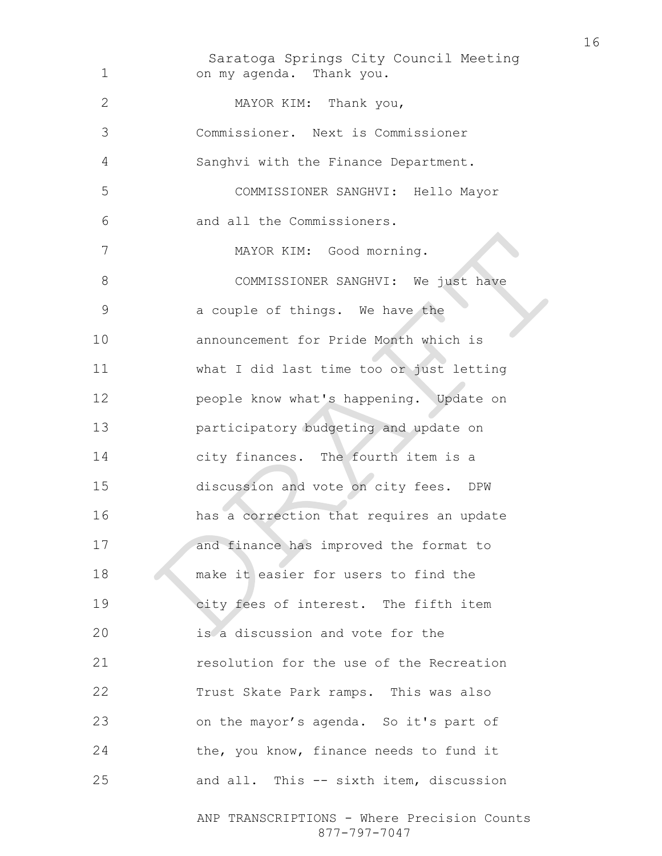Saratoga Springs City Council Meeting on my agenda. Thank you. MAYOR KIM: Thank you, Commissioner. Next is Commissioner Sanghvi with the Finance Department. COMMISSIONER SANGHVI: Hello Mayor and all the Commissioners. MAYOR KIM: Good morning. 8 COMMISSIONER SANGHVI: We just have a couple of things. We have the announcement for Pride Month which is what I did last time too or just letting people know what's happening. Update on participatory budgeting and update on city finances. The fourth item is a discussion and vote on city fees. DPW has a correction that requires an update 17 and finance has improved the format to 18 make it easier for users to find the city fees of interest. The fifth item is a discussion and vote for the resolution for the use of the Recreation Trust Skate Park ramps. This was also on the mayor's agenda. So it's part of the, you know, finance needs to fund it and all. This -- sixth item, discussion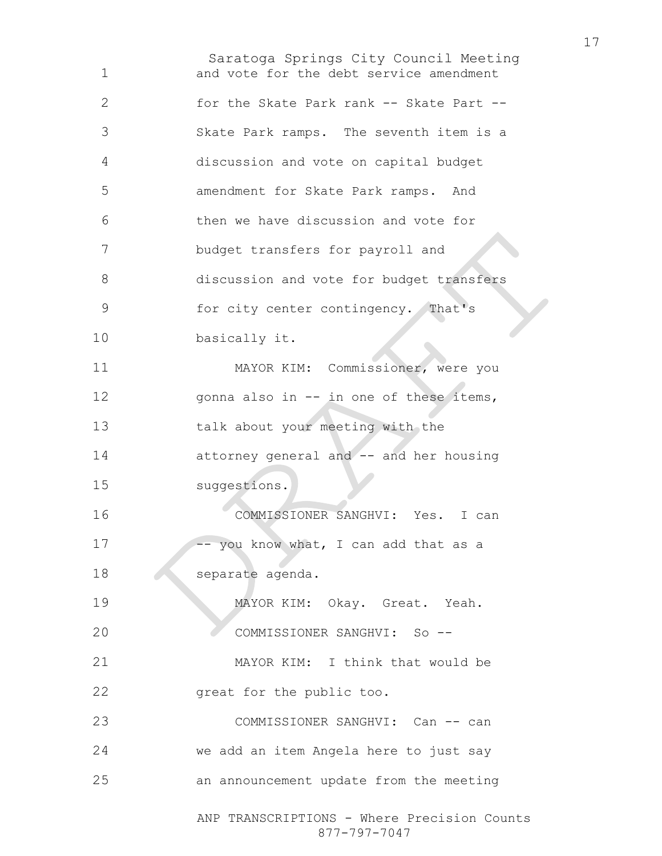Saratoga Springs City Council Meeting ANP TRANSCRIPTIONS - Where Precision Counts and vote for the debt service amendment for the Skate Park rank -- Skate Part -- Skate Park ramps. The seventh item is a discussion and vote on capital budget amendment for Skate Park ramps. And then we have discussion and vote for budget transfers for payroll and discussion and vote for budget transfers 9 for city center contingency. That's basically it. MAYOR KIM: Commissioner, were you 12 gonna also in -- in one of these items, talk about your meeting with the attorney general and -- and her housing suggestions. COMMISSIONER SANGHVI: Yes. I can 17 -- you know what, I can add that as a 18 separate agenda. MAYOR KIM: Okay. Great. Yeah. COMMISSIONER SANGHVI: So -- MAYOR KIM: I think that would be great for the public too. 23 COMMISSIONER SANGHVI: Can -- can we add an item Angela here to just say an announcement update from the meeting

877-797-7047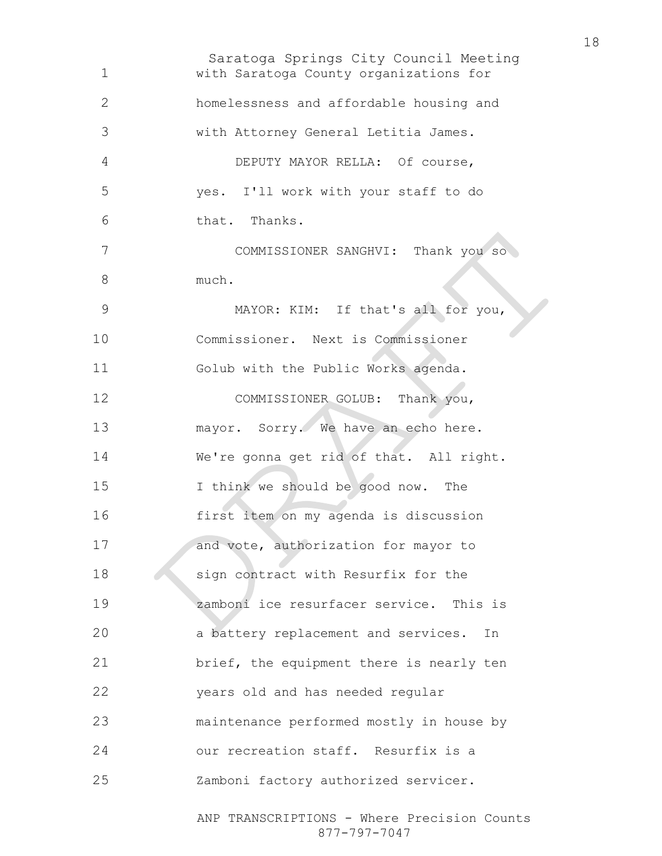Saratoga Springs City Council Meeting with Saratoga County organizations for homelessness and affordable housing and with Attorney General Letitia James. DEPUTY MAYOR RELLA: Of course, yes. I'll work with your staff to do that. Thanks. COMMISSIONER SANGHVI: Thank you so much. MAYOR: KIM: If that's all for you, Commissioner. Next is Commissioner Golub with the Public Works agenda. COMMISSIONER GOLUB: Thank you, mayor. Sorry. We have an echo here. We're gonna get rid of that. All right. I think we should be good now. The first item on my agenda is discussion 17 and vote, authorization for mayor to 18 sign contract with Resurfix for the zamboni ice resurfacer service. This is a battery replacement and services. In brief, the equipment there is nearly ten years old and has needed regular maintenance performed mostly in house by our recreation staff. Resurfix is a Zamboni factory authorized servicer.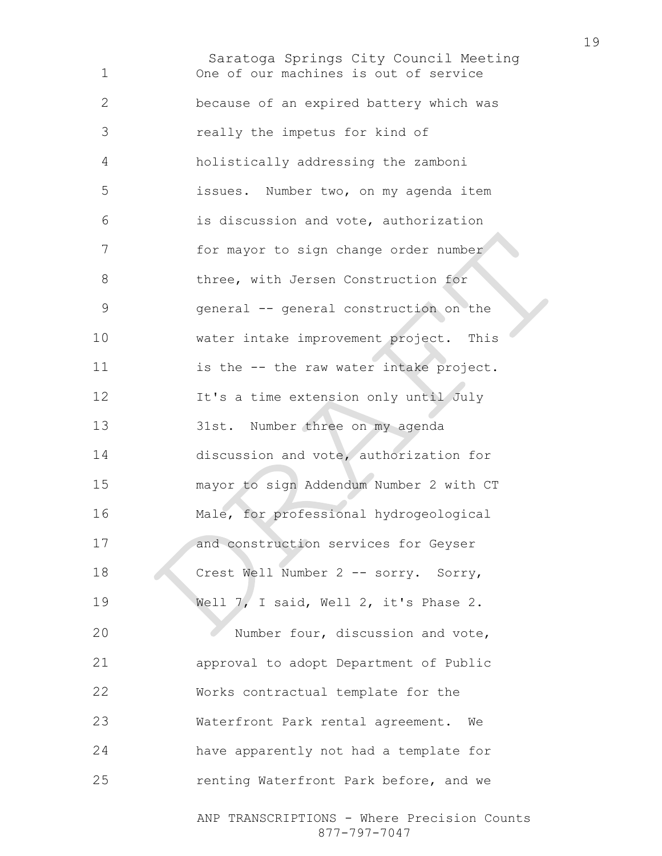Saratoga Springs City Council Meeting One of our machines is out of service because of an expired battery which was really the impetus for kind of holistically addressing the zamboni issues. Number two, on my agenda item is discussion and vote, authorization for mayor to sign change order number 8 three, with Jersen Construction for general -- general construction on the water intake improvement project. This is the -- the raw water intake project. 12 It's a time extension only until July 31st. Number three on my agenda discussion and vote, authorization for mayor to sign Addendum Number 2 with CT Male, for professional hydrogeological and construction services for Geyser 18 Crest Well Number 2 -- sorry. Sorry, Well 7, I said, Well 2, it's Phase 2. Number four, discussion and vote, approval to adopt Department of Public Works contractual template for the Waterfront Park rental agreement. We have apparently not had a template for renting Waterfront Park before, and we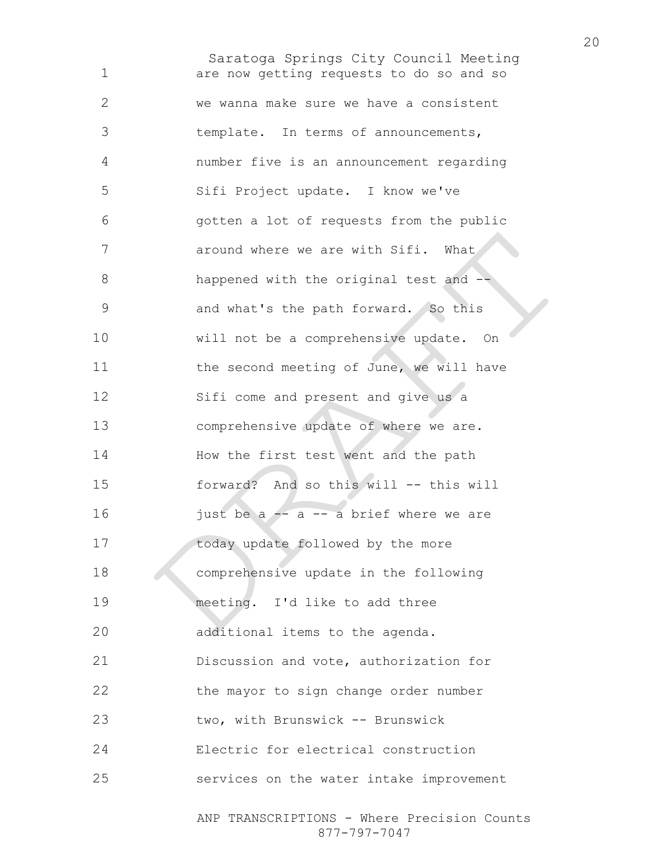Saratoga Springs City Council Meeting ANP TRANSCRIPTIONS - Where Precision Counts are now getting requests to do so and so we wanna make sure we have a consistent template. In terms of announcements, number five is an announcement regarding Sifi Project update. I know we've gotten a lot of requests from the public 7 around where we are with Sifi. What 8 happened with the original test and  $-$ and what's the path forward. So this will not be a comprehensive update. On 11 the second meeting of June, we will have Sifi come and present and give us a comprehensive update of where we are. How the first test went and the path forward? And so this will -- this will  $\frac{1}{10}$  just be a  $\frac{1}{10}$  -- a brief where we are 17 today update followed by the more comprehensive update in the following meeting. I'd like to add three additional items to the agenda. Discussion and vote, authorization for the mayor to sign change order number two, with Brunswick -- Brunswick Electric for electrical construction services on the water intake improvement

877-797-7047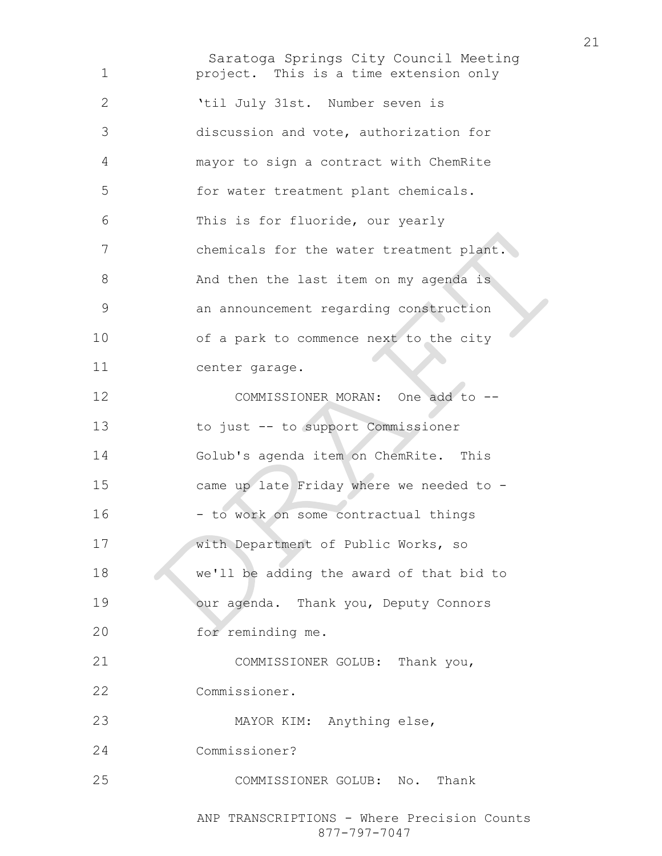Saratoga Springs City Council Meeting project. This is a time extension only 'til July 31st. Number seven is discussion and vote, authorization for mayor to sign a contract with ChemRite for water treatment plant chemicals. This is for fluoride, our yearly chemicals for the water treatment plant. And then the last item on my agenda is an announcement regarding construction of a park to commence next to the city center garage. 12 COMMISSIONER MORAN: One add to --to just -- to support Commissioner Golub's agenda item on ChemRite. This came up late Friday where we needed to - 16 - to work on some contractual things with Department of Public Works, so we'll be adding the award of that bid to 19 our agenda. Thank you, Deputy Connors for reminding me. COMMISSIONER GOLUB: Thank you, Commissioner. MAYOR KIM: Anything else, Commissioner? COMMISSIONER GOLUB: No. Thank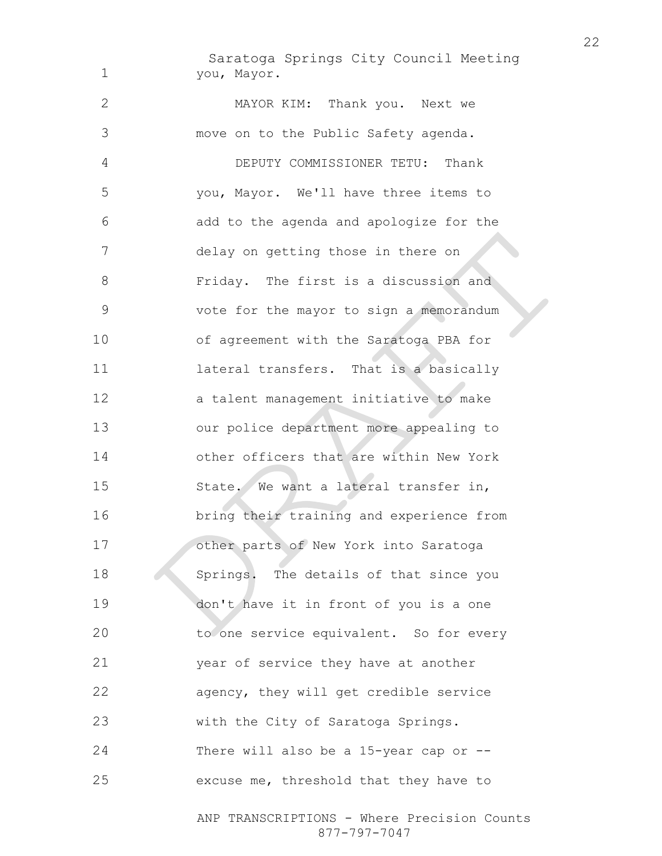Saratoga Springs City Council Meeting you, Mayor.

MAYOR KIM: Thank you. Next we move on to the Public Safety agenda. DEPUTY COMMISSIONER TETU: Thank you, Mayor. We'll have three items to add to the agenda and apologize for the delay on getting those in there on Friday. The first is a discussion and vote for the mayor to sign a memorandum of agreement with the Saratoga PBA for lateral transfers. That is a basically a talent management initiative to make our police department more appealing to other officers that are within New York 15 State. We want a lateral transfer in, bring their training and experience from other parts of New York into Saratoga 18 Springs. The details of that since you don't have it in front of you is a one to one service equivalent. So for every year of service they have at another agency, they will get credible service with the City of Saratoga Springs. There will also be a 15-year cap or -- excuse me, threshold that they have to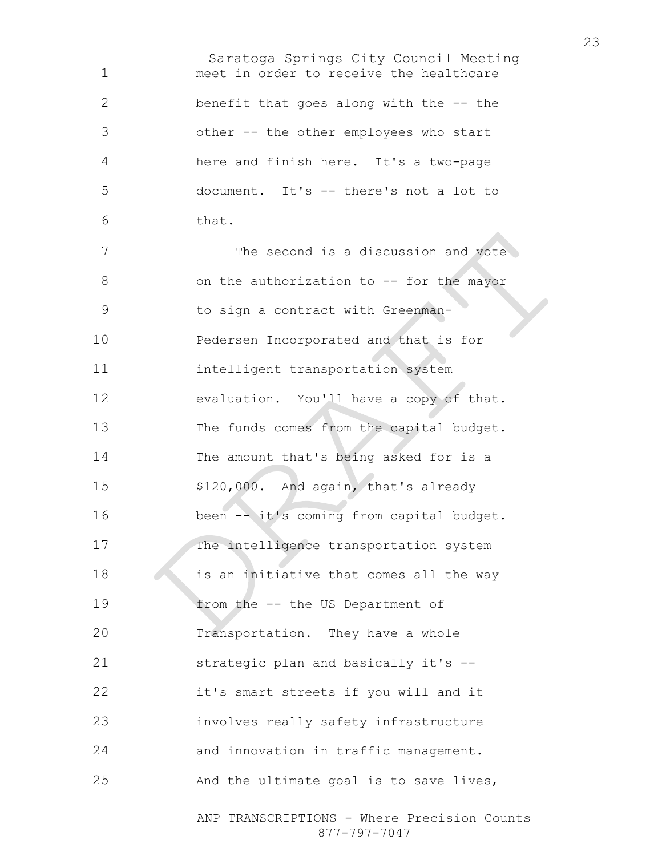Saratoga Springs City Council Meeting meet in order to receive the healthcare benefit that goes along with the -- the other -- the other employees who start here and finish here. It's a two-page document. It's -- there's not a lot to that. The second is a discussion and vote 8 on the authorization to -- for the mayor 9 to sign a contract with Greenman-Pedersen Incorporated and that is for intelligent transportation system evaluation. You'll have a copy of that. 13 The funds comes from the capital budget. The amount that's being asked for is a \$120,000. And again, that's already 16 been -- it's coming from capital budget. The intelligence transportation system 18 is an initiative that comes all the way from the -- the US Department of Transportation. They have a whole strategic plan and basically it's -- it's smart streets if you will and it involves really safety infrastructure and innovation in traffic management. And the ultimate goal is to save lives,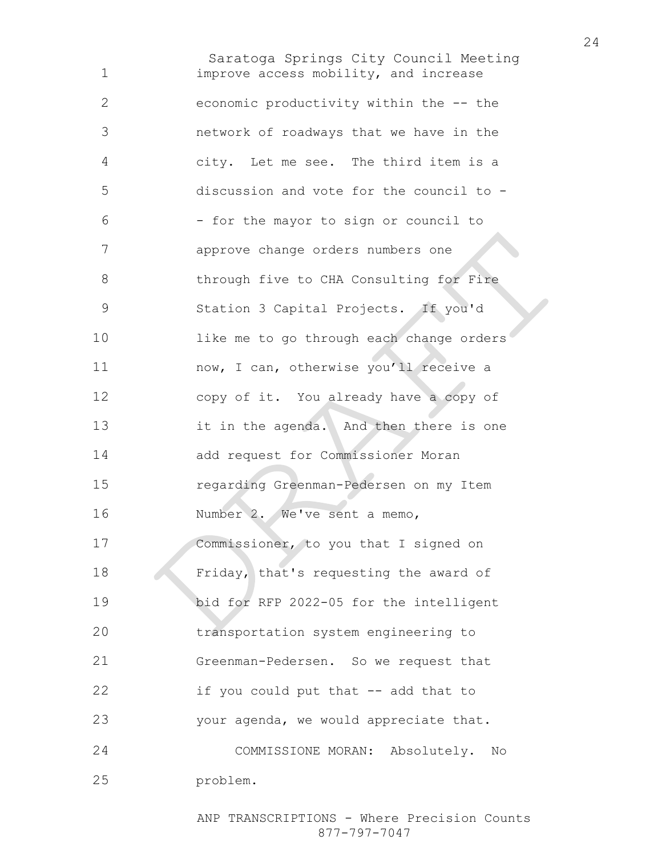Saratoga Springs City Council Meeting improve access mobility, and increase economic productivity within the -- the network of roadways that we have in the city. Let me see. The third item is a discussion and vote for the council to - - for the mayor to sign or council to approve change orders numbers one 8 through five to CHA Consulting for Fire Station 3 Capital Projects. If you'd 10 like me to go through each change orders now, I can, otherwise you'll receive a copy of it. You already have a copy of it in the agenda. And then there is one add request for Commissioner Moran regarding Greenman-Pedersen on my Item Number 2. We've sent a memo, Commissioner, to you that I signed on Friday, that's requesting the award of bid for RFP 2022-05 for the intelligent transportation system engineering to Greenman-Pedersen. So we request that if you could put that -- add that to your agenda, we would appreciate that. COMMISSIONE MORAN: Absolutely. No problem.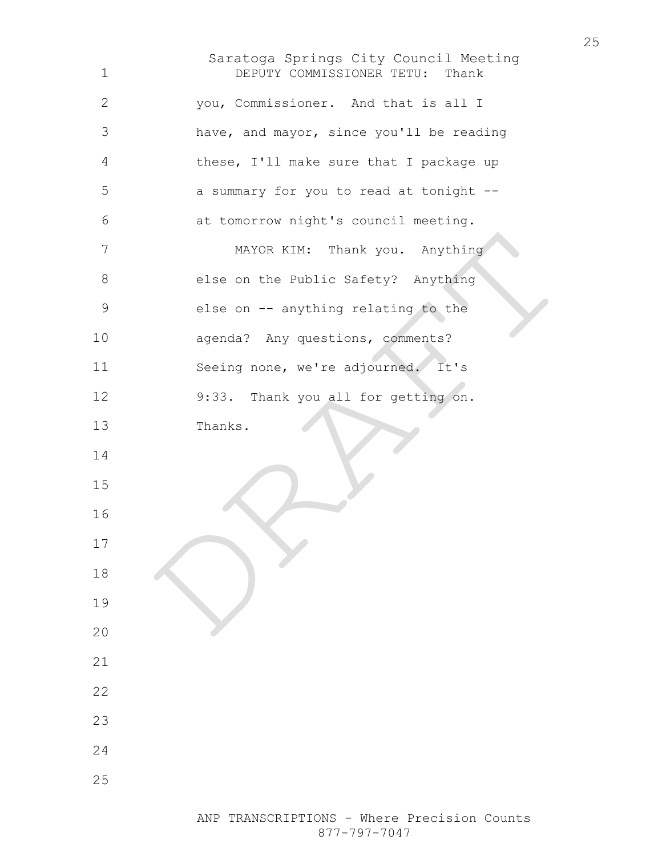Saratoga Springs City Council Meeting DEPUTY COMMISSIONER TETU: Thank you, Commissioner. And that is all I have, and mayor, since you'll be reading these, I'll make sure that I package up a summary for you to read at tonight -- at tomorrow night's council meeting. MAYOR KIM: Thank you. Anything 8 else on the Public Safety? Anything else on -- anything relating to the agenda? Any questions, comments? Seeing none, we're adjourned. It's 9:33. Thank you all for getting on. Thanks.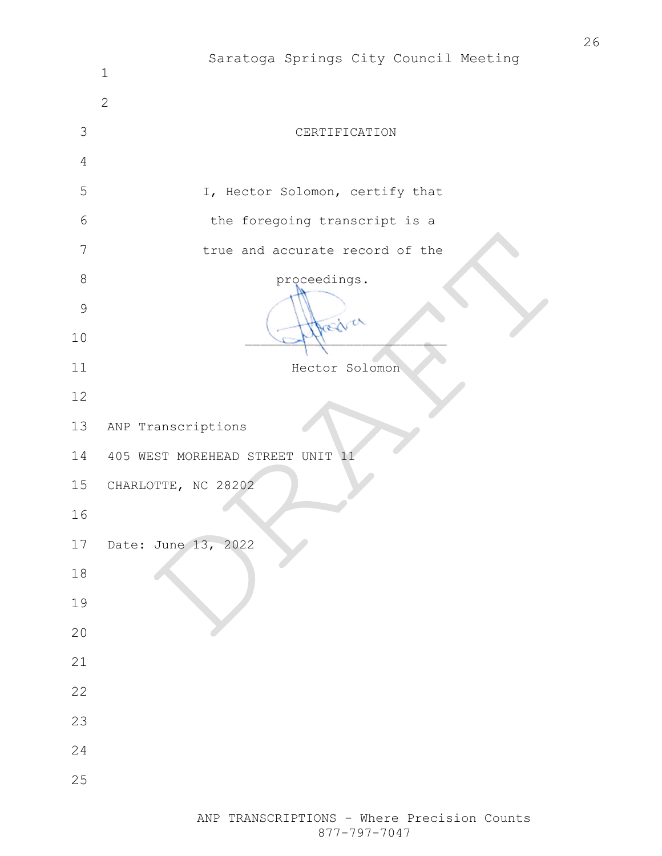|                | Saratoga Springs City Council Meeting<br>$1\,$ |
|----------------|------------------------------------------------|
|                | $\overline{2}$                                 |
| 3              | CERTIFICATION                                  |
| $\overline{4}$ |                                                |
| 5              | I, Hector Solomon, certify that                |
| 6              | the foregoing transcript is a                  |
| $\overline{7}$ | true and accurate record of the                |
| $\,8\,$        | proceedings.                                   |
| $\mathcal{G}$  | Drawa                                          |
| 10             |                                                |
| 11             | Hector Solomon                                 |
| 12             |                                                |
| 13             | ANP Transcriptions                             |
| 14             | 405 WEST MOREHEAD STREET UNIT 11               |
| 15             | CHARLOTTE, NC 28202                            |
| 16             |                                                |
| 17             | Date: June 13, 2022                            |
| $18\,$         |                                                |
| 19             |                                                |
| 20             |                                                |
| $2\sqrt{1}$    |                                                |
| 22             |                                                |
| 23             |                                                |
| 24             |                                                |
| 25             |                                                |